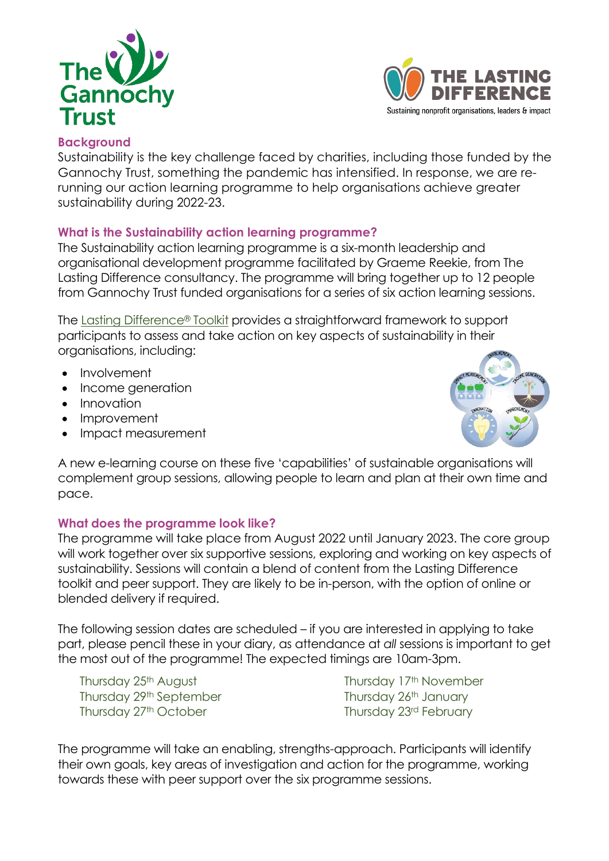



# **Background**

Sustainability is the key challenge faced by charities, including those funded by the Gannochy Trust, something the pandemic has intensified. In response, we are rerunning our action learning programme to help organisations achieve greater sustainability during 2022-23.

## **What is the Sustainability action learning programme?**

The Sustainability action learning programme is a six-month leadership and organisational development programme facilitated by Graeme Reekie, from The Lasting Difference consultancy. The programme will bring together up to 12 people from Gannochy Trust funded organisations for a series of six action learning sessions.

The Lasting [Difference](https://www.thelastingdifference.com/resources/)® Toolkit provides a straightforward framework to support participants to assess and take action on key aspects of sustainability in their organisations, including:

- **Involvement**
- Income generation
- Innovation
- Improvement
- Impact measurement



A new e-learning course on these five 'capabilities' of sustainable organisations will complement group sessions, allowing people to learn and plan at their own time and pace.

## **What does the programme look like?**

The programme will take place from August 2022 until January 2023. The core group will work together over six supportive sessions, exploring and working on key aspects of sustainability. Sessions will contain a blend of content from the Lasting Difference toolkit and peer support. They are likely to be in-person, with the option of online or blended delivery if required.

The following session dates are scheduled – if you are interested in applying to take part, please pencil these in your diary, as attendance at *all* sessions is important to get the most out of the programme! The expected timings are 10am-3pm.

Thursday 25<sup>th</sup> August Thursday 29th September Thursday 27th October

Thursday 17<sup>th</sup> November Thursday 26th January Thursday 23rd February

The programme will take an enabling, strengths-approach. Participants will identify their own goals, key areas of investigation and action for the programme, working towards these with peer support over the six programme sessions.